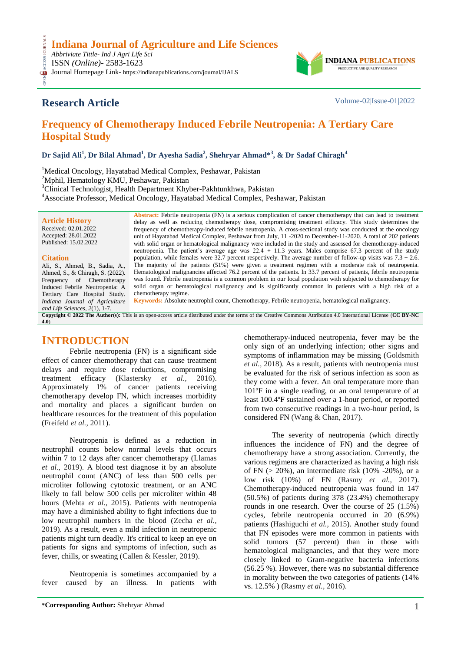OPEN ACCESS JOURNALS ISSN *(Online)*- 2583-1623 Journal Homepage Link- https://indianapublications.com/journal/IJALS



## **Research Article** Volume-02|Issue-01|2022

CESS.

# **Frequency of Chemotherapy Induced Febrile Neutropenia: A Tertiary Care Hospital Study**

**Dr Sajid Ali<sup>1</sup> , Dr Bilal Ahmad<sup>1</sup> , Dr Ayesha Sadia<sup>2</sup> , Shehryar Ahmad\*<sup>3</sup> , & Dr Sadaf Chiragh<sup>4</sup>**

<sup>1</sup>Medical Oncology, Hayatabad Medical Complex, Peshawar, Pakistan

<sup>2</sup>Mphil, Hematology KMU, Peshawar, Pakistan

<sup>3</sup>Clinical Technologist, Health Department Khyber-Pakhtunkhwa, Pakistan

<sup>4</sup>Associate Professor, Medical Oncology, Hayatabad Medical Complex, Peshawar, Pakistan

| <b>Article History</b>           | <b>Abstract:</b> Febrile neutropenia (FN) is a serious complication of cancer chemotherapy that can lead to treatment<br>delay as well as reducing chemotherapy dose, compromising treatment efficacy. This study determines the |
|----------------------------------|----------------------------------------------------------------------------------------------------------------------------------------------------------------------------------------------------------------------------------|
|                                  |                                                                                                                                                                                                                                  |
| Received: 02.01.2022             | frequency of chemotherapy-induced febrile neutropenia. A cross-sectional study was conducted at the oncology                                                                                                                     |
| Accepted: 28.01.2022             | unit of Hayatabad Medical Complex, Peshawar from July, 11 -2020 to December-11-2020. A total of 202 patients                                                                                                                     |
| Published: 15.02.2022            | with solid organ or hematological malignancy were included in the study and assessed for chemotherapy-induced                                                                                                                    |
|                                  | neutropenia. The patient's average age was 22.4 + 11.3 years. Males comprise 67.3 percent of the study                                                                                                                           |
| <b>Citation</b>                  | population, while females were 32.7 percent respectively. The average number of follow-up visits was $7.3 + 2.6$ .                                                                                                               |
| Ali, S., Ahmed, B., Sadia, A.,   | The majority of the patients (51%) were given a treatment regimen with a moderate risk of neutropenia.                                                                                                                           |
| Ahmed, S., & Chiragh, S. (2022). | Hematological malignancies affected 76.2 percent of the patients. In 33.7 percent of patients, febrile neutropenia                                                                                                               |
| Frequency of Chemotherapy        | was found. Febrile neutropenia is a common problem in our local population with subjected to chemotherapy for                                                                                                                    |
| Induced Febrile Neutropenia: A   | solid organ or hematological malignancy and is significantly common in patients with a high risk of a                                                                                                                            |
| Tertiary Care Hospital Study.    | chemotherapy regime.                                                                                                                                                                                                             |
| Indiana Journal of Agriculture   | <b>Keywords:</b> Absolute neutrophil count, Chemotherapy, Febrile neutropenia, hematological malignancy.                                                                                                                         |
| and Life Sciences, $2(1)$ , 1-7. |                                                                                                                                                                                                                                  |
|                                  | Copyright © 2022 The Author(s): This is an open-access article distributed under the terms of the Creative Commons Attribution 4.0 International License (CC BY-NC)                                                              |
| $(4.0)$ .                        |                                                                                                                                                                                                                                  |

### **INTRODUCTION**

Febrile neutropenia (FN) is a significant side effect of cancer chemotherapy that can cause treatment delays and require dose reductions, compromising treatment efficacy (Klastersky *et al.,* 2016). Approximately 1% of cancer patients receiving chemotherapy develop FN, which increases morbidity and mortality and places a significant burden on healthcare resources for the treatment of this population (Freifeld *et al.,* 2011).

Neutropenia is defined as a reduction in neutrophil counts below normal levels that occurs within 7 to 12 days after cancer chemotherapy (Llamas *et al.,* 2019). A blood test diagnose it by an absolute neutrophil count (ANC) of less than 500 cells per microliter following cytotoxic treatment, or an ANC likely to fall below 500 cells per microliter within 48 hours (Mehta *et al.,* 2015). Patients with neutropenia may have a diminished ability to fight infections due to low neutrophil numbers in the blood (Zecha *et al.,* 2019). As a result, even a mild infection in neutropenic patients might turn deadly. It's critical to keep an eye on patients for signs and symptoms of infection, such as fever, chills, or sweating (Callen & Kessler, 2019).

Neutropenia is sometimes accompanied by a fever caused by an illness. In patients with

chemotherapy-induced neutropenia, fever may be the only sign of an underlying infection; other signs and symptoms of inflammation may be missing (Goldsmith *et al.,* 2018). As a result, patients with neutropenia must be evaluated for the risk of serious infection as soon as they come with a fever. An oral temperature more than 101ºF in a single reading, or an oral temperature of at least 100.4ºF sustained over a 1-hour period, or reported from two consecutive readings in a two-hour period, is considered FN (Wang & Chan, 2017).

The severity of neutropenia (which directly influences the incidence of FN) and the degree of chemotherapy have a strong association. Currently, the various regimens are characterized as having a high risk of FN  $(> 20\%)$ , an intermediate risk  $(10\% -20\%)$ , or a low risk (10%) of FN (Rasmy *et al.,* 2017). Chemotherapy-induced neutropenia was found in 147 (50.5%) of patients during 378 (23.4%) chemotherapy rounds in one research. Over the course of 25 (1.5%) cycles, febrile neutropenia occurred in 20 (6.9%) patients (Hashiguchi *et al.,* 2015). Another study found that FN episodes were more common in patients with solid tumors (57 percent) than in those with hematological malignancies, and that they were more closely linked to Gram-negative bacteria infections (56.25 %). However, there was no substantial difference in morality between the two categories of patients (14% vs. 12.5% ) (Rasmy *et al.,* 2016).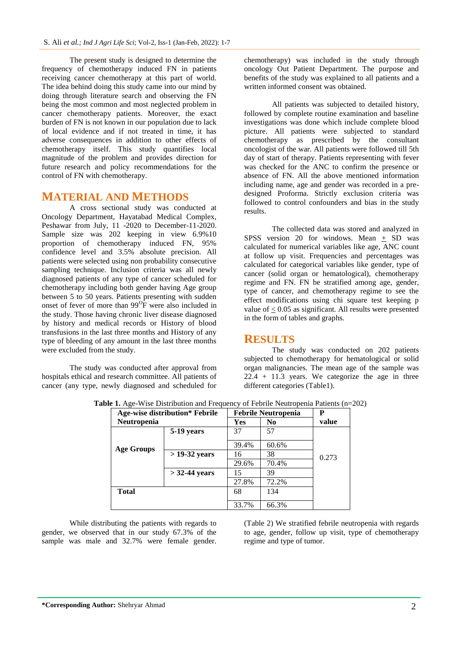The present study is designed to determine the frequency of chemotherapy induced FN in patients receiving cancer chemotherapy at this part of world. The idea behind doing this study came into our mind by doing through literature search and observing the FN being the most common and most neglected problem in cancer chemotherapy patients. Moreover, the exact burden of FN is not known in our population due to lack of local evidence and if not treated in time, it has adverse consequences in addition to other effects of chemotherapy itself. This study quantifies local magnitude of the problem and provides direction for future research and policy recommendations for the control of FN with chemotherapy.

### **MATERIAL AND METHODS**

A cross sectional study was conducted at Oncology Department, Hayatabad Medical Complex, Peshawar from July, 11 -2020 to December-11-2020. Sample size was 202 keeping in view 6.9%10 proportion of chemotherapy induced FN, 95% confidence level and 3.5% absolute precision. All patients were selected using non probability consecutive sampling technique. Inclusion criteria was all newly diagnosed patients of any type of cancer scheduled for chemotherapy including both gender having Age group between 5 to 50 years. Patients presenting with sudden onset of fever of more than  $99^{\circ}$ F were also included in the study. Those having chronic liver disease diagnosed by history and medical records or History of blood transfusions in the last three months and History of any type of bleeding of any amount in the last three months were excluded from the study.

The study was conducted after approval from hospitals ethical and research committee. All patients of cancer (any type, newly diagnosed and scheduled for chemotherapy) was included in the study through oncology Out Patient Department. The purpose and benefits of the study was explained to all patients and a written informed consent was obtained.

All patients was subjected to detailed history, followed by complete routine examination and baseline investigations was done which include complete blood picture. All patients were subjected to standard chemotherapy as prescribed by the consultant oncologist of the war. All patients were followed till 5th day of start of therapy. Patients representing with fever was checked for the ANC to confirm the presence or absence of FN. All the above mentioned information including name, age and gender was recorded in a predesigned Proforma. Strictly exclusion criteria was followed to control confounders and bias in the study results.

The collected data was stored and analyzed in SPSS version 20 for windows. Mean  $\pm$  SD was calculated for numerical variables like age, ANC count at follow up visit. Frequencies and percentages was calculated for categorical variables like gender, type of cancer (solid organ or hematological), chemotherapy regime and FN. FN be stratified among age, gender, type of cancer, and chemotherapy regime to see the effect modifications using chi square test keeping p value of < 0.05 as significant. All results were presented in the form of tables and graphs.

#### **RESULTS**

The study was conducted on 202 patients subjected to chemotherapy for hematological or solid organ malignancies. The mean age of the sample was  $22.4 + 11.3$  years. We categorize the age in three different categories (Table1).

| <b>Age-wise distribution* Febrile</b> |                 | <b>Febrile Neutropenia</b> |                | P     |
|---------------------------------------|-----------------|----------------------------|----------------|-------|
| Neutropenia                           |                 | Yes                        | N <sub>0</sub> | value |
|                                       | 5-19 years      | 37                         | 57             |       |
| <b>Age Groups</b>                     |                 | 39.4%                      | 60.6%          |       |
|                                       | $>$ 19-32 years | 16                         | 38             | 0.273 |
|                                       |                 | 29.6%                      | 70.4%          |       |
|                                       | $>$ 32-44 years | 15                         | 39             |       |
|                                       |                 | 27.8%                      | 72.2%          |       |
| <b>Total</b>                          |                 | 68                         | 134            |       |
|                                       |                 | 33.7%                      | 66.3%          |       |

**Table 1.** Age-Wise Distribution and Frequency of Febrile Neutropenia Patients (n=202)

While distributing the patients with regards to gender, we observed that in our study 67.3% of the sample was male and 32.7% were female gender.

(Table 2) We stratified febrile neutropenia with regards to age, gender, follow up visit, type of chemotherapy regime and type of tumor.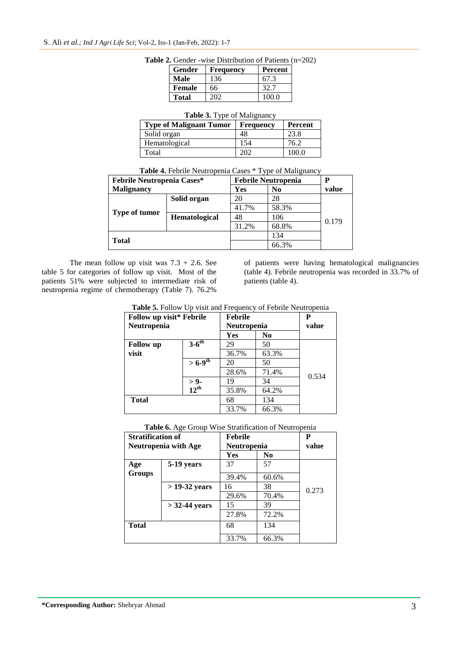| Gender       | <b>Frequency</b> | Percent |
|--------------|------------------|---------|
| Male         | 136              | 67.3    |
| Female       | 66               | 32.7    |
| <b>Total</b> | 202              | 100 O   |

|  |  |  | <b>Table 2.</b> Gender -wise Distribution of Patients $(n=202)$ |  |  |
|--|--|--|-----------------------------------------------------------------|--|--|
|--|--|--|-----------------------------------------------------------------|--|--|

|  |  | Table 3. Type of Malignancy |
|--|--|-----------------------------|
|  |  |                             |

| <b>Type of Malignant Tumor</b> | <b>Frequency</b> | <b>Percent</b> |
|--------------------------------|------------------|----------------|
| Solid organ                    | 48               | 23.8           |
| Hematological                  | 154              | 76.2           |
| Total                          |                  | 100 O          |

**Table 4.** Febrile Neutropenia Cases \* Type of Malignancy

| <b>Febrile Neutropenia Cases*</b> | <b>Febrile Neutropenia</b> |       |                | Р     |
|-----------------------------------|----------------------------|-------|----------------|-------|
| <b>Malignancy</b>                 |                            | Yes   | N <sub>0</sub> | value |
|                                   | Solid organ                | 20    | 28             |       |
| <b>Type of tumor</b>              |                            | 41.7% | 58.3%          |       |
|                                   | Hematological              | 48    | 106            | 0.179 |
|                                   |                            | 31.2% | 68.8%          |       |
|                                   |                            |       | 134            |       |
| <b>Total</b>                      |                            |       | 66.3%          |       |

The mean follow up visit was  $7.3 + 2.6$ . See table 5 for categories of follow up visit. Most of the patients 51% were subjected to intermediate risk of neutropenia regime of chemotherapy (Table 7). 76.2%

of patients were having hematological malignancies (table 4). Febrile neutropenia was recorded in 33.7% of patients (table 4).

| Table 5. Follow Up visit and Frequency of Febrile Neutropenia |
|---------------------------------------------------------------|
|---------------------------------------------------------------|

| Follow up visit* Febrile |                             | <b>Febrile</b>     | P              |       |
|--------------------------|-----------------------------|--------------------|----------------|-------|
| Neutropenia              |                             | <b>Neutropenia</b> |                | value |
|                          |                             | Yes                | N <sub>0</sub> |       |
| <b>Follow</b> up         | $3-6$ <sup>th</sup>         | 29                 | 50             |       |
| visit                    |                             | 36.7%              | 63.3%          |       |
|                          | $>6 - 9$ <sup>th</sup>      | 20                 | 50             |       |
|                          |                             | 28.6%              | 71.4%          | 0.534 |
|                          | $> 9$ -<br>12 <sup>th</sup> | 19                 | 34             |       |
|                          |                             | 35.8%              | 64.2%          |       |
| <b>Total</b>             |                             | 68                 | 134            |       |
|                          |                             | 33.7%              | 66.3%          |       |

**Table 6.** Age Group Wise Stratification of Neutropenia

| <b>Stratification of</b>    |                 | <b>Febrile</b> | P           |       |
|-----------------------------|-----------------|----------------|-------------|-------|
| <b>Neutropenia with Age</b> |                 |                | Neutropenia |       |
|                             |                 | <b>Yes</b>     | No.         |       |
| Age                         | 5-19 years      | 37             | 57          |       |
| <b>Groups</b>               |                 | 39.4%          | 60.6%       |       |
|                             | $>$ 19-32 years | 16             | 38          | 0.273 |
|                             |                 | 29.6%          | 70.4%       |       |
|                             | $>$ 32-44 years | 15             | 39          |       |
|                             |                 | 27.8%          | 72.2%       |       |
| <b>Total</b>                |                 | 68             | 134         |       |
|                             |                 | 33.7%          | 66.3%       |       |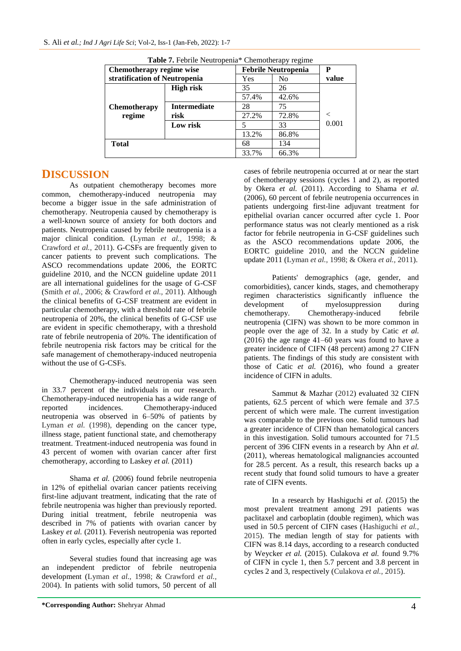| Chemotherapy regime wise      |                     | <b>Febrile Neutropenia</b> |       | Р     |
|-------------------------------|---------------------|----------------------------|-------|-------|
| stratification of Neutropenia |                     | Yes                        | No    | value |
|                               | <b>High risk</b>    | 35                         | 26    |       |
|                               |                     | 57.4%                      | 42.6% |       |
| <b>Chemotherapy</b>           | <b>Intermediate</b> | 28                         | 75    |       |
| regime                        | risk                | 27.2%                      | 72.8% |       |
|                               | Low risk            | 5                          | 33    | 0.001 |
|                               |                     | 13.2%                      | 86.8% |       |
| Total                         |                     | 68                         | 134   |       |
|                               |                     | 33.7%                      | 66.3% |       |

**Table 7.** Febrile Neutropenia\* Chemotherapy regime

## **DISCUSSION**

As outpatient chemotherapy becomes more common, chemotherapy-induced neutropenia may become a bigger issue in the safe administration of chemotherapy. Neutropenia caused by chemotherapy is a well-known source of anxiety for both doctors and patients. Neutropenia caused by febrile neutropenia is a major clinical condition. (Lyman *et al.,* 1998; & Crawford *et al.,* 2011). G-CSFs are frequently given to cancer patients to prevent such complications. The ASCO recommendations update 2006, the EORTC guideline 2010, and the NCCN guideline update 2011 are all international guidelines for the usage of G-CSF (Smith *et al.,* 2006; & Crawford *et al.,* 2011). Although the clinical benefits of G-CSF treatment are evident in particular chemotherapy, with a threshold rate of febrile neutropenia of 20%, the clinical benefits of G-CSF use are evident in specific chemotherapy, with a threshold rate of febrile neutropenia of 20%. The identification of febrile neutropenia risk factors may be critical for the safe management of chemotherapy-induced neutropenia without the use of G-CSFs.

Chemotherapy-induced neutropenia was seen in 33.7 percent of the individuals in our research. Chemotherapy-induced neutropenia has a wide range of reported incidences. Chemotherapy-induced neutropenia was observed in 6–50% of patients by Lyman *et al.* (1998), depending on the cancer type, illness stage, patient functional state, and chemotherapy treatment. Treatment-induced neutropenia was found in 43 percent of women with ovarian cancer after first chemotherapy, according to Laskey *et al.* (2011)

Shama *et al.* (2006) found febrile neutropenia in 12% of epithelial ovarian cancer patients receiving first-line adjuvant treatment, indicating that the rate of febrile neutropenia was higher than previously reported. During initial treatment, febrile neutropenia was described in 7% of patients with ovarian cancer by Laskey *et al.* (2011). Feverish neutropenia was reported often in early cycles, especially after cycle 1.

Several studies found that increasing age was an independent predictor of febrile neutropenia development (Lyman *et al.,* 1998; & Crawford *et al.,* 2004). In patients with solid tumors, 50 percent of all

cases of febrile neutropenia occurred at or near the start of chemotherapy sessions (cycles 1 and 2), as reported by Okera *et al.* (2011). According to Shama *et al.* (2006), 60 percent of febrile neutropenia occurrences in patients undergoing first-line adjuvant treatment for epithelial ovarian cancer occurred after cycle 1. Poor performance status was not clearly mentioned as a risk factor for febrile neutropenia in G-CSF guidelines such as the ASCO recommendations update 2006, the EORTC guideline 2010, and the NCCN guideline update 2011 (Lyman *et al.,* 1998; & Okera *et al.,* 2011).

Patients' demographics (age, gender, and comorbidities), cancer kinds, stages, and chemotherapy regimen characteristics significantly influence the development of myelosuppression during chemotherapy. Chemotherapy-induced febrile neutropenia (CIFN) was shown to be more common in people over the age of 32. In a study by Catic *et al.* (2016) the age range 41–60 years was found to have a greater incidence of CIFN (48 percent) among 27 CIFN patients. The findings of this study are consistent with those of Catic *et al.* (2016), who found a greater incidence of CIFN in adults.

Sammut & Mazhar (2012) evaluated 32 CIFN patients, 62.5 percent of which were female and 37.5 percent of which were male. The current investigation was comparable to the previous one. Solid tumours had a greater incidence of CIFN than hematological cancers in this investigation. Solid tumours accounted for 71.5 percent of 396 CIFN events in a research by Ahn *et al.* (2011), whereas hematological malignancies accounted for 28.5 percent. As a result, this research backs up a recent study that found solid tumours to have a greater rate of CIFN events.

In a research by Hashiguchi *et al.* (2015) the most prevalent treatment among 291 patients was paclitaxel and carboplatin (double regimen), which was used in 50.5 percent of CIFN cases (Hashiguchi *et al.,* 2015). The median length of stay for patients with CIFN was 8.14 days, according to a research conducted by Weycker *et al.* (2015). Culakova *et al.* found 9.7% of CIFN in cycle 1, then 5.7 percent and 3.8 percent in cycles 2 and 3, respectively (Culakova *et al.,* 2015).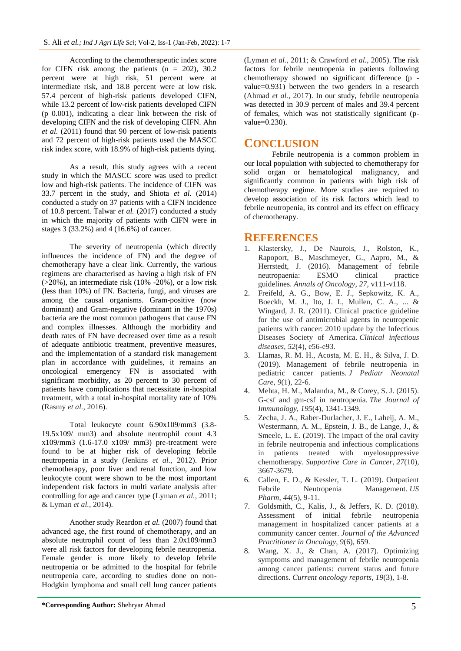According to the chemotherapeutic index score for CIFN risk among the patients  $(n = 202)$ , 30.2 percent were at high risk, 51 percent were at intermediate risk, and 18.8 percent were at low risk. 57.4 percent of high-risk patients developed CIFN, while 13.2 percent of low-risk patients developed CIFN (p 0.001), indicating a clear link between the risk of developing CIFN and the risk of developing CIFN. Ahn *et al.* (2011) found that 90 percent of low-risk patients and 72 percent of high-risk patients used the MASCC risk index score, with 18.9% of high-risk patients dying.

As a result, this study agrees with a recent study in which the MASCC score was used to predict low and high-risk patients. The incidence of CIFN was 33.7 percent in the study, and Shiota *et al.* (2014) conducted a study on 37 patients with a CIFN incidence of 10.8 percent. Talwar *et al.* (2017) conducted a study in which the majority of patients with CIFN were in stages 3 (33.2%) and 4 (16.6%) of cancer.

The severity of neutropenia (which directly influences the incidence of FN) and the degree of chemotherapy have a clear link. Currently, the various regimens are characterised as having a high risk of FN  $(>20\%)$ , an intermediate risk  $(10\% -20\%)$ , or a low risk (less than 10%) of FN. Bacteria, fungi, and viruses are among the causal organisms. Gram-positive (now dominant) and Gram-negative (dominant in the 1970s) bacteria are the most common pathogens that cause FN and complex illnesses. Although the morbidity and death rates of FN have decreased over time as a result of adequate antibiotic treatment, preventive measures, and the implementation of a standard risk management plan in accordance with guidelines, it remains an oncological emergency FN is associated with significant morbidity, as 20 percent to 30 percent of patients have complications that necessitate in-hospital treatment, with a total in-hospital mortality rate of 10% (Rasmy *et al.,* 2016).

Total leukocyte count 6.90x109/mm3 (3.8- 19.5x109/ mm3) and absolute neutrophil count 4.3 x109/mm3 (1.6-17.0 x109/ mm3) pre-treatment were found to be at higher risk of developing febrile neutropenia in a study (Jenkins *et al.,* 2012). Prior chemotherapy, poor liver and renal function, and low leukocyte count were shown to be the most important independent risk factors in multi variate analysis after controlling for age and cancer type (Lyman *et al.,* 2011; & Lyman *et al.,* 2014).

Another study Reardon *et al.* (2007) found that advanced age, the first round of chemotherapy, and an absolute neutrophil count of less than 2.0x109/mm3 were all risk factors for developing febrile neutropenia. Female gender is more likely to develop febrile neutropenia or be admitted to the hospital for febrile neutropenia care, according to studies done on non-Hodgkin lymphoma and small cell lung cancer patients

(Lyman *et al.,* 2011; & Crawford *et al.,* 2005). The risk factors for febrile neutropenia in patients following chemotherapy showed no significant difference (p value=0.931) between the two genders in a research (Ahmad *et al.,* 2017). In our study, febrile neutropenia was detected in 30.9 percent of males and 39.4 percent of females, which was not statistically significant (pvalue=0.230).

## **CONCLUSION**

Febrile neutropenia is a common problem in our local population with subjected to chemotherapy for solid organ or hematological malignancy, and significantly common in patients with high risk of chemotherapy regime. More studies are required to develop association of its risk factors which lead to febrile neutropenia, its control and its effect on efficacy of chemotherapy.

### **REFERENCES**

- 1. Klastersky, J., De Naurois, J., Rolston, K., Rapoport, B., Maschmeyer, G., Aapro, M., & Herrstedt, J. (2016). Management of febrile neutropaenia: ESMO clinical practice guidelines. *Annals of Oncology*, *27*, v111-v118.
- 2. Freifeld, A. G., Bow, E. J., Sepkowitz, K. A., Boeckh, M. J., Ito, J. I., Mullen, C. A., ... & Wingard, J. R. (2011). Clinical practice guideline for the use of antimicrobial agents in neutropenic patients with cancer: 2010 update by the Infectious Diseases Society of America. *Clinical infectious diseases*, *52*(4), e56-e93.
- 3. Llamas, R. M. H., Acosta, M. E. H., & Silva, J. D. (2019). Management of febrile neutropenia in pediatric cancer patients. *J Pediatr Neonatal Care*, *9*(1), 22-6.
- 4. Mehta, H. M., Malandra, M., & Corey, S. J. (2015). G-csf and gm-csf in neutropenia. *The Journal of Immunology*, *195*(4), 1341-1349.
- 5. Zecha, J. A., Raber-Durlacher, J. E., Laheij, A. M., Westermann, A. M., Epstein, J. B., de Lange, J., & Smeele, L. E. (2019). The impact of the oral cavity in febrile neutropenia and infectious complications in patients treated with myelosuppressive chemotherapy. *Supportive Care in Cancer*, *27*(10), 3667-3679.
- 6. Callen, E. D., & Kessler, T. L. (2019). Outpatient Febrile Neutropenia Management. *US Pharm*, *44*(5), 9-11.
- 7. Goldsmith, C., Kalis, J., & Jeffers, K. D. (2018). Assessment of initial febrile neutropenia management in hospitalized cancer patients at a community cancer center. *Journal of the Advanced Practitioner in Oncology*, *9*(6), 659.
- 8. Wang, X. J., & Chan, A. (2017). Optimizing symptoms and management of febrile neutropenia among cancer patients: current status and future directions. *Current oncology reports*, *19*(3), 1-8.

**\*Corresponding Author:** Shehryar Ahmad 5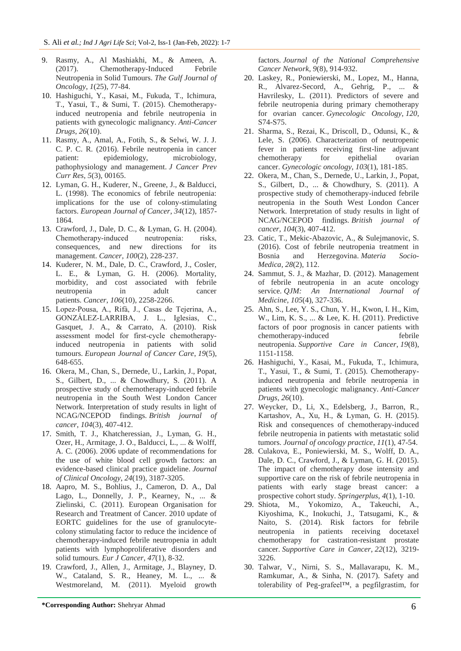- 9. Rasmy, A., Al Mashiakhi, M., & Ameen, A. (2017). Chemotherapy-Induced Febrile Neutropenia in Solid Tumours. *The Gulf Journal of Oncology*, *1*(25), 77-84.
- 10. Hashiguchi, Y., Kasai, M., Fukuda, T., Ichimura, T., Yasui, T., & Sumi, T. (2015). Chemotherapyinduced neutropenia and febrile neutropenia in patients with gynecologic malignancy. *Anti-Cancer Drugs*, *26*(10).
- 11. Rasmy, A., Amal, A., Fotih, S., & Selwi, W. J. J. C. P. C. R. (2016). Febrile neutropenia in cancer patient: epidemiology, microbiology, pathophysiology and management. *J Cancer Prev Curr Res*, *5*(3), 00165.
- 12. Lyman, G. H., Kuderer, N., Greene, J., & Balducci, L. (1998). The economics of febrile neutropenia: implications for the use of colony-stimulating factors. *European Journal of Cancer*, *34*(12), 1857- 1864.
- 13. Crawford, J., Dale, D. C., & Lyman, G. H. (2004). Chemotherapy-induced neutropenia: risks, consequences, and new directions for its management. *Cancer*, *100*(2), 228-237.
- 14. Kuderer, N. M., Dale, D. C., Crawford, J., Cosler, L. E., & Lyman, G. H. (2006). Mortality, morbidity, and cost associated with febrile neutropenia in adult cancer patients. *Cancer*, *106*(10), 2258-2266.
- 15. Lopez‐Pousa, A., Rifà, J., Casas de Tejerina, A., GONZÁLEZ‐LARRIBA, J. L., Iglesias, C., Gasquet, J. A., & Carrato, A. (2010). Risk assessment model for first‐cycle chemotherapy‐ induced neutropenia in patients with solid tumours. *European Journal of Cancer Care*, *19*(5), 648-655.
- 16. Okera, M., Chan, S., Dernede, U., Larkin, J., Popat, S., Gilbert, D., ... & Chowdhury, S. (2011). A prospective study of chemotherapy-induced febrile neutropenia in the South West London Cancer Network. Interpretation of study results in light of NCAG/NCEPOD findings. *British journal of cancer*, *104*(3), 407-412.
- 17. Smith, T. J., Khatcheressian, J., Lyman, G. H., Ozer, H., Armitage, J. O., Balducci, L., ... & Wolff, A. C. (2006). 2006 update of recommendations for the use of white blood cell growth factors: an evidence-based clinical practice guideline. *Journal of Clinical Oncology*, *24*(19), 3187-3205.
- 18. Aapro, M. S., Bohlius, J., Cameron, D. A., Dal Lago, L., Donnelly, J. P., Kearney, N., ... & Zielinski, C. (2011). European Organisation for Research and Treatment of Cancer. 2010 update of EORTC guidelines for the use of granulocytecolony stimulating factor to reduce the incidence of chemotherapy-induced febrile neutropenia in adult patients with lymphoproliferative disorders and solid tumours. *Eur J Cancer*, *47*(1), 8-32.
- 19. Crawford, J., Allen, J., Armitage, J., Blayney, D. W., Cataland, S. R., Heaney, M. L., ... & Westmoreland, M. (2011). Myeloid growth

factors. *Journal of the National Comprehensive Cancer Network*, *9*(8), 914-932.

- 20. Laskey, R., Poniewierski, M., Lopez, M., Hanna, R., Alvarez-Secord, A., Gehrig, P., ... & Havrilesky, L. (2011). Predictors of severe and febrile neutropenia during primary chemotherapy for ovarian cancer. *Gynecologic Oncology*, *120*, S74-S75.
- 21. Sharma, S., Rezai, K., Driscoll, D., Odunsi, K., & Lele, S. (2006). Characterization of neutropenic fever in patients receiving first-line adjuvant chemotherapy for epithelial ovarian cancer. *Gynecologic oncology*, *103*(1), 181-185.
- 22. Okera, M., Chan, S., Dernede, U., Larkin, J., Popat, S., Gilbert, D., ... & Chowdhury, S. (2011). A prospective study of chemotherapy-induced febrile neutropenia in the South West London Cancer Network. Interpretation of study results in light of NCAG/NCEPOD findings. *British journal of cancer*, *104*(3), 407-412.
- 23. Catic, T., Mekic-Abazovic, A., & Sulejmanovic, S. (2016). Cost of febrile neutropenia treatment in Bosnia and Herzegovina. *Materia Socio-Medica*, *28*(2), 112.
- 24. Sammut, S. J., & Mazhar, D. (2012). Management of febrile neutropenia in an acute oncology service. *QJM: An International Journal of Medicine*, *105*(4), 327-336.
- 25. Ahn, S., Lee, Y. S., Chun, Y. H., Kwon, I. H., Kim, W., Lim, K. S., ... & Lee, K. H. (2011). Predictive factors of poor prognosis in cancer patients with chemotherapy-induced febrile neutropenia. *Supportive Care in Cancer*, *19*(8), 1151-1158.
- 26. Hashiguchi, Y., Kasai, M., Fukuda, T., Ichimura, T., Yasui, T., & Sumi, T. (2015). Chemotherapyinduced neutropenia and febrile neutropenia in patients with gynecologic malignancy. *Anti-Cancer Drugs*, *26*(10).
- 27. Weycker, D., Li, X., Edelsberg, J., Barron, R., Kartashov, A., Xu, H., & Lyman, G. H. (2015). Risk and consequences of chemotherapy-induced febrile neutropenia in patients with metastatic solid tumors. *Journal of oncology practice*, *11*(1), 47-54.
- 28. Culakova, E., Poniewierski, M. S., Wolff, D. A., Dale, D. C., Crawford, J., & Lyman, G. H. (2015). The impact of chemotherapy dose intensity and supportive care on the risk of febrile neutropenia in patients with early stage breast cancer: a prospective cohort study. *Springerplus*, *4*(1), 1-10.
- 29. Shiota, M., Yokomizo, A., Takeuchi, A., Kiyoshima, K., Inokuchi, J., Tatsugami, K., & Naito, S. (2014). Risk factors for febrile neutropenia in patients receiving docetaxel chemotherapy for castration-resistant prostate cancer. *Supportive Care in Cancer*, *22*(12), 3219- 3226.
- 30. Talwar, V., Nirni, S. S., Mallavarapu, K. M., Ramkumar, A., & Sinha, N. (2017). Safety and tolerability of Peg-grafeel™, a pegfilgrastim, for